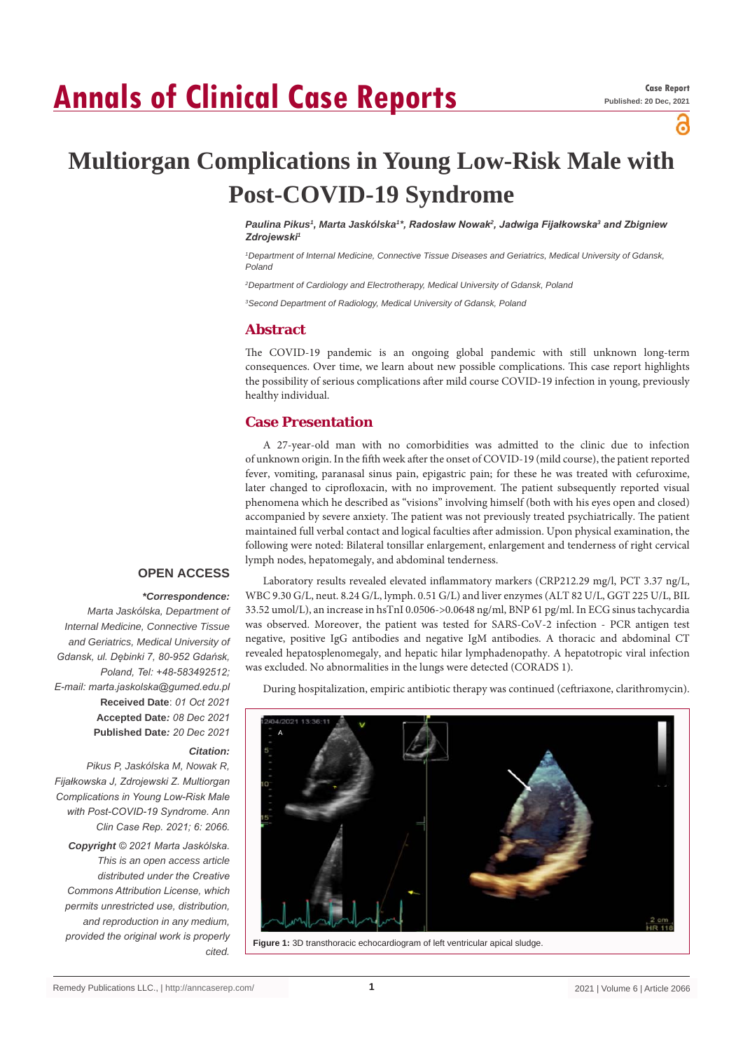# **Annals of Clinical Case Reports**

പ്പ

# **Multiorgan Complications in Young Low-Risk Male with Post-COVID-19 Syndrome**

*Paulina Pikus1 , Marta Jaskólska1 \*, Radosław Nowak<sup>2</sup> , Jadwiga Fijałkowska<sup>3</sup> and Zbigniew Zdrojewski<sup>1</sup>*

*1 Department of Internal Medicine, Connective Tissue Diseases and Geriatrics, Medical University of Gdansk, Poland*

*2 Department of Cardiology and Electrotherapy, Medical University of Gdansk, Poland*

*3 Second Department of Radiology, Medical University of Gdansk, Poland*

#### **Abstract**

The COVID-19 pandemic is an ongoing global pandemic with still unknown long-term consequences. Over time, we learn about new possible complications. This case report highlights the possibility of serious complications after mild course COVID-19 infection in young, previously healthy individual.

## **Case Presentation**

A 27-year-old man with no comorbidities was admitted to the clinic due to infection of unknown origin. In the fifth week after the onset of COVID-19 (mild course), the patient reported fever, vomiting, paranasal sinus pain, epigastric pain; for these he was treated with cefuroxime, later changed to ciprofloxacin, with no improvement. The patient subsequently reported visual phenomena which he described as "visions" involving himself (both with his eyes open and closed) accompanied by severe anxiety. The patient was not previously treated psychiatrically. The patient maintained full verbal contact and logical faculties after admission. Upon physical examination, the following were noted: Bilateral tonsillar enlargement, enlargement and tenderness of right cervical lymph nodes, hepatomegaly, and abdominal tenderness.

### **OPEN ACCESS**

#### *\*Correspondence:*

*Marta Jaskólska, Department of Internal Medicine, Connective Tissue and Geriatrics, Medical University of Gdansk, ul. Dębinki 7, 80-952 Gdańsk, Poland, Tel: +48-583492512; E-mail: marta.jaskolska@gumed.edu.pl* **Received Date**: *01 Oct 2021* **Accepted Date***: 08 Dec 2021* **Published Date***: 20 Dec 2021*

#### *Citation:*

*Pikus P, Jaskólska M, Nowak R, Fijałkowska J, Zdrojewski Z. Multiorgan Complications in Young Low-Risk Male with Post-COVID-19 Syndrome. Ann Clin Case Rep. 2021; 6: 2066.*

*Copyright © 2021 Marta Jaskólska. This is an open access article distributed under the Creative Commons Attribution License, which permits unrestricted use, distribution, and reproduction in any medium, provided the original work is properly* 

Laboratory results revealed elevated inflammatory markers (CRP212.29 mg/l, PCT 3.37 ng/L, WBC 9.30 G/L, neut. 8.24 G/L, lymph. 0.51 G/L) and liver enzymes (ALT 82 U/L, GGT 225 U/L, BIL 33.52 umol/L), an increase in hsTnI 0.0506->0.0648 ng/ml, BNP 61 pg/ml. In ECG sinus tachycardia was observed. Moreover, the patient was tested for SARS-CoV-2 infection - PCR antigen test negative, positive IgG antibodies and negative IgM antibodies. A thoracic and abdominal CT revealed hepatosplenomegaly, and hepatic hilar lymphadenopathy. A hepatotropic viral infection was excluded. No abnormalities in the lungs were detected (CORADS 1).

During hospitalization, empiric antibiotic therapy was continued (ceftriaxone, clarithromycin).



*cited.* **Figure 1:** 3D transthoracic echocardiogram of left ventricular apical sludge.